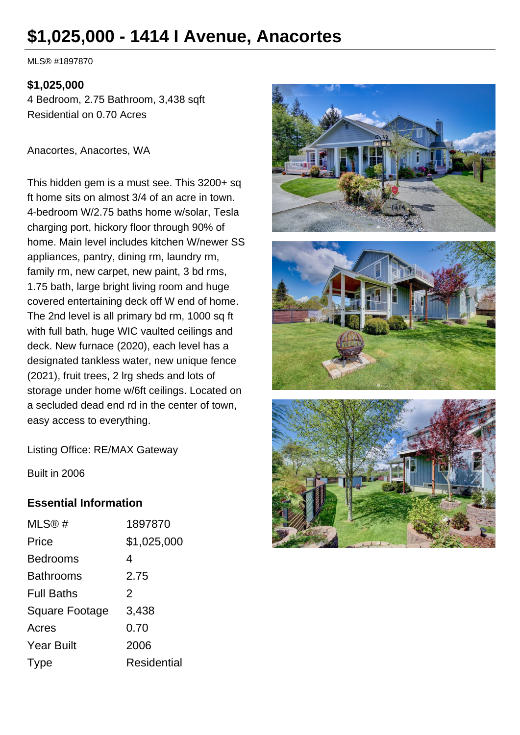# **\$1,025,000 - 1414 I Avenue, Anacortes**

MLS® #1897870

#### **\$1,025,000**

4 Bedroom, 2.75 Bathroom, 3,438 sqft Residential on 0.70 Acres

Anacortes, Anacortes, WA

This hidden gem is a must see. This 3200+ sq ft home sits on almost 3/4 of an acre in town. 4-bedroom W/2.75 baths home w/solar, Tesla charging port, hickory floor through 90% of home. Main level includes kitchen W/newer SS appliances, pantry, dining rm, laundry rm, family rm, new carpet, new paint, 3 bd rms, 1.75 bath, large bright living room and huge covered entertaining deck off W end of home. The 2nd level is all primary bd rm, 1000 sq ft with full bath, huge WIC vaulted ceilings and deck. New furnace (2020), each level has a designated tankless water, new unique fence (2021), fruit trees, 2 lrg sheds and lots of storage under home w/6ft ceilings. Located on a secluded dead end rd in the center of town, easy access to everything.







Listing Office: RE/MAX Gateway

Built in 2006

## **Essential Information**

| MLS@#                 | 1897870            |
|-----------------------|--------------------|
| Price                 | \$1,025,000        |
| <b>Bedrooms</b>       | 4                  |
| <b>Bathrooms</b>      | 2.75               |
| <b>Full Baths</b>     | $\mathcal{P}$      |
| <b>Square Footage</b> | 3,438              |
| Acres                 | 0.70               |
| <b>Year Built</b>     | 2006               |
| Type                  | <b>Residential</b> |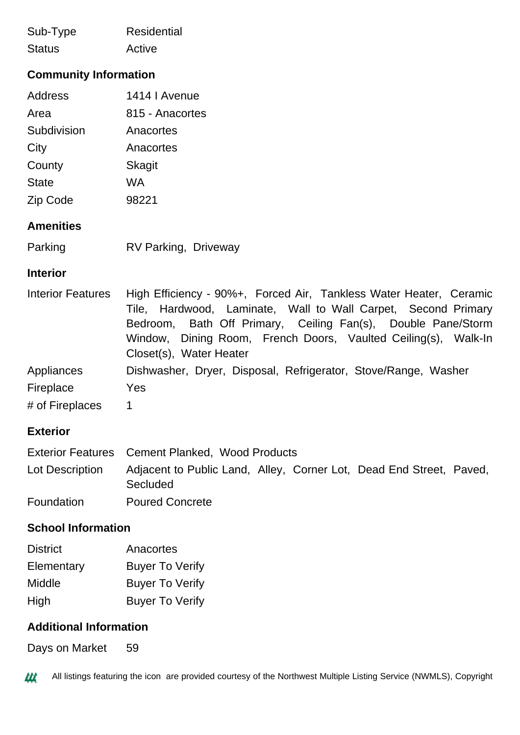| Sub-Type      | Residential |
|---------------|-------------|
| <b>Status</b> | Active      |

# **Community Information**

| <b>Address</b> | 1414   Avenue   |
|----------------|-----------------|
| Area           | 815 - Anacortes |
| Subdivision    | Anacortes       |
| City           | Anacortes       |
| County         | Skagit          |
| <b>State</b>   | WA              |
| Zip Code       | 98221           |

#### **Amenities**

| Parking | <b>RV Parking, Driveway</b> |  |
|---------|-----------------------------|--|
|         |                             |  |

#### **Interior**

| <b>Interior Features</b> | High Efficiency - 90%+, Forced Air, Tankless Water Heater, Ceramic |
|--------------------------|--------------------------------------------------------------------|
|                          | Tile, Hardwood, Laminate, Wall to Wall Carpet, Second Primary      |
|                          | Bedroom, Bath Off Primary, Ceiling Fan(s), Double Pane/Storm       |
|                          | Window, Dining Room, French Doors, Vaulted Ceiling(s), Walk-In     |
|                          | Closet(s), Water Heater                                            |
| Appliances               | Dishwasher, Dryer, Disposal, Refrigerator, Stove/Range, Washer     |
| Fireplace                | <b>Yes</b>                                                         |
| # of Fireplaces          | 1                                                                  |

# **Exterior**

|                 | Exterior Features Cement Planked, Wood Products                                 |
|-----------------|---------------------------------------------------------------------------------|
| Lot Description | Adjacent to Public Land, Alley, Corner Lot, Dead End Street, Paved,<br>Secluded |
| Foundation      | <b>Poured Concrete</b>                                                          |

#### **School Information**

| <b>District</b> | Anacortes              |
|-----------------|------------------------|
| Elementary      | <b>Buyer To Verify</b> |
| Middle          | <b>Buyer To Verify</b> |
| High            | <b>Buyer To Verify</b> |

### **Additional Information**

Days on Market 59

144 All listings featuring the icon are provided courtesy of the Northwest Multiple Listing Service (NWMLS), Copyright